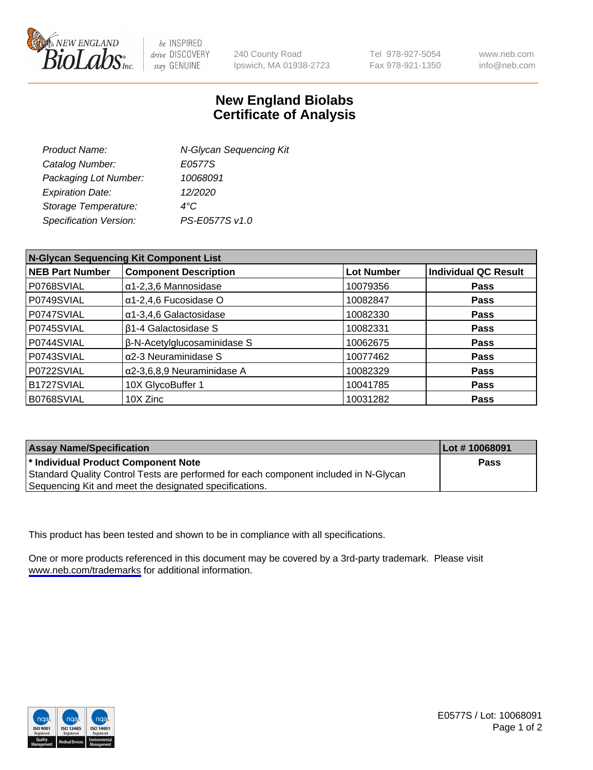

be INSPIRED drive DISCOVERY stay GENUINE

240 County Road Ipswich, MA 01938-2723 Tel 978-927-5054 Fax 978-921-1350

www.neb.com info@neb.com

## **New England Biolabs Certificate of Analysis**

| <b>Product Name:</b>          | N-Glycan Sequencing Kit |
|-------------------------------|-------------------------|
| Catalog Number:               | E0577S                  |
| Packaging Lot Number:         | 10068091                |
| <b>Expiration Date:</b>       | 12/2020                 |
| Storage Temperature:          | $4^{\circ}$ C           |
| <b>Specification Version:</b> | PS-E0577S v1.0          |
|                               |                         |

| N-Glycan Sequencing Kit Component List |                                    |            |                             |  |
|----------------------------------------|------------------------------------|------------|-----------------------------|--|
| <b>NEB Part Number</b>                 | <b>Component Description</b>       | Lot Number | <b>Individual QC Result</b> |  |
| P0768SVIAL                             | $\alpha$ 1-2,3,6 Mannosidase       | 10079356   | <b>Pass</b>                 |  |
| P0749SVIAL                             | $\alpha$ 1-2,4,6 Fucosidase O      | 10082847   | <b>Pass</b>                 |  |
| P0747SVIAL                             | $\alpha$ 1-3,4,6 Galactosidase     | 10082330   | <b>Pass</b>                 |  |
| P0745SVIAL                             | <b>B1-4 Galactosidase S</b>        | 10082331   | <b>Pass</b>                 |  |
| P0744SVIAL                             | β-N-Acetylglucosaminidase S        | 10062675   | Pass                        |  |
| P0743SVIAL                             | $\alpha$ 2-3 Neuraminidase S       | 10077462   | Pass                        |  |
| P0722SVIAL                             | $\alpha$ 2-3,6,8,9 Neuraminidase A | 10082329   | <b>Pass</b>                 |  |
| B1727SVIAL                             | 10X GlycoBuffer 1                  | 10041785   | <b>Pass</b>                 |  |
| B0768SVIAL                             | 10X Zinc                           | 10031282   | <b>Pass</b>                 |  |

| <b>Assay Name/Specification</b>                                                      | Lot #10068091 |
|--------------------------------------------------------------------------------------|---------------|
| * Individual Product Component Note                                                  | Pass          |
| Standard Quality Control Tests are performed for each component included in N-Glycan |               |
| Sequencing Kit and meet the designated specifications.                               |               |

This product has been tested and shown to be in compliance with all specifications.

One or more products referenced in this document may be covered by a 3rd-party trademark. Please visit <www.neb.com/trademarks>for additional information.